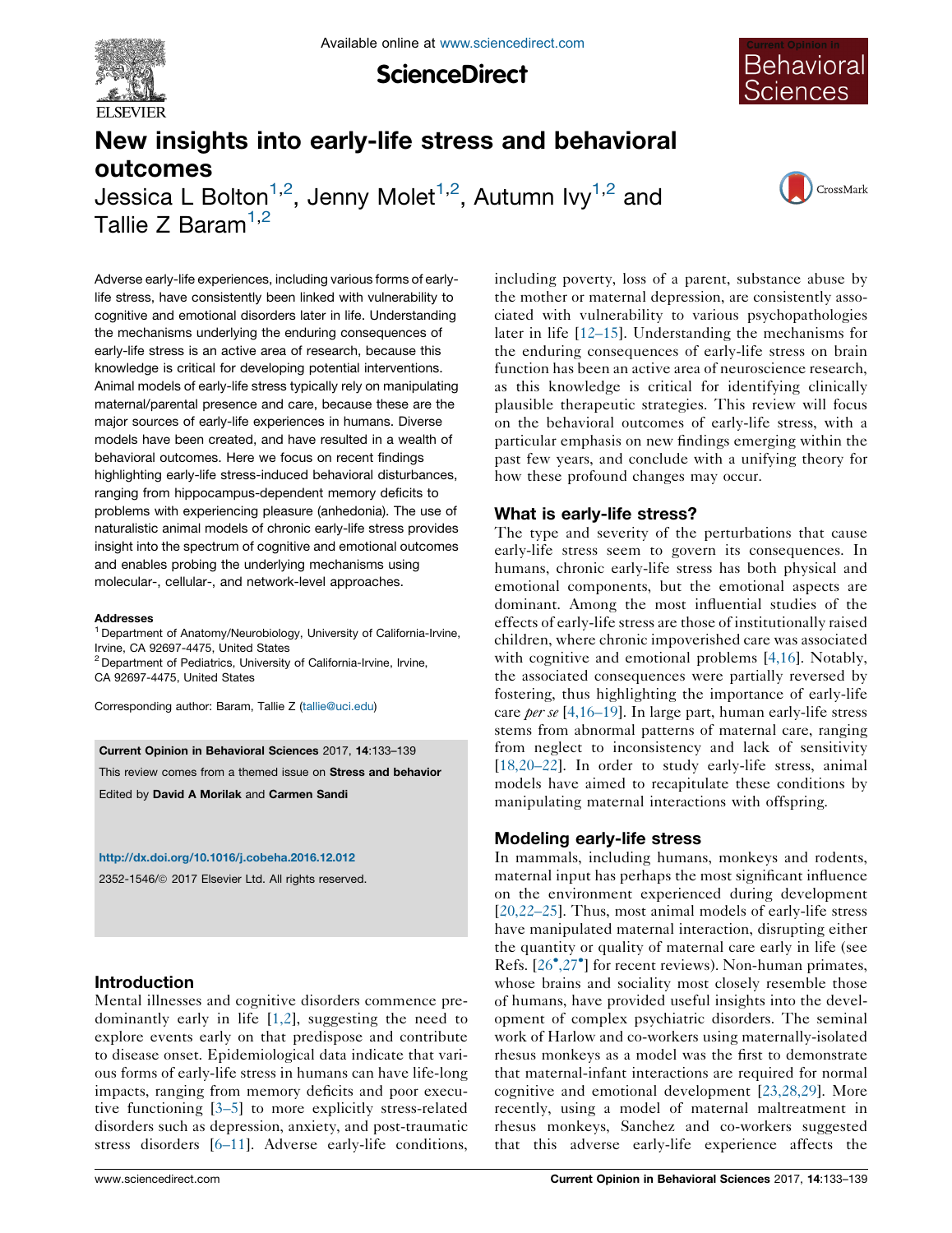

**ScienceDirect** 



# New insights into early-life stress and behavioral outcomes

Jessica L Bolton $^{1,2}$ , Jenny Molet $^{1,2}$ , Autumn Ivy $^{1,2}$  and Tallie Z Baram $1,2$ 

CrossMark

Adverse early-life experiences, including various forms of earlylife stress, have consistently been linked with vulnerability to cognitive and emotional disorders later in life. Understanding the mechanisms underlying the enduring consequences of early-life stress is an active area of research, because this knowledge is critical for developing potential interventions. Animal models of early-life stress typically rely on manipulating maternal/parental presence and care, because these are the major sources of early-life experiences in humans. Diverse models have been created, and have resulted in a wealth of behavioral outcomes. Here we focus on recent findings highlighting early-life stress-induced behavioral disturbances, ranging from hippocampus-dependent memory deficits to problems with experiencing pleasure (anhedonia). The use of naturalistic animal models of chronic early-life stress provides insight into the spectrum of cognitive and emotional outcomes and enables probing the underlying mechanisms using molecular-, cellular-, and network-level approaches.

#### **Addresses**

<sup>1</sup> Department of Anatomy/Neurobiology, University of California-Irvine, Irvine, CA 92697-4475, United States

<sup>2</sup> Department of Pediatrics, University of California-Irvine, Irvine, CA 92697-4475, United States

Corresponding author: Baram, Tallie Z ([tallie@uci.edu\)](mailto:tallie@uci.edu)

Current Opinion in Behavioral Sciences 2017, 14:133–139

This review comes from a themed issue on Stress and behavior

Edited by David A Morilak and Carmen Sandi

<http://dx.doi.org/10.1016/j.cobeha.2016.12.012>

2352-1546/ã 2017 Elsevier Ltd. All rights reserved.

#### Introduction

Mental illnesses and cognitive disorders commence predominantly early in life [\[1,2\]](#page-3-0), suggesting the need to explore events early on that predispose and contribute to disease onset. Epidemiological data indicate that various forms of early-life stress in humans can have life-long impacts, ranging from memory deficits and poor executive functioning [[3–5\]](#page-4-0) to more explicitly stress-related disorders such as depression, anxiety, and post-traumatic stress disorders [\[6–11](#page-4-0)]. Adverse early-life conditions, including poverty, loss of a parent, substance abuse by the mother or maternal depression, are consistently associated with vulnerability to various psychopathologies later in life [\[12–15](#page-4-0)]. Understanding the mechanisms for the enduring consequences of early-life stress on brain function has been an active area of neuroscience research, as this knowledge is critical for identifying clinically plausible therapeutic strategies. This review will focus on the behavioral outcomes of early-life stress, with a particular emphasis on new findings emerging within the past few years, and conclude with a unifying theory for how these profound changes may occur.

#### What is early-life stress?

The type and severity of the perturbations that cause early-life stress seem to govern its consequences. In humans, chronic early-life stress has both physical and emotional components, but the emotional aspects are dominant. Among the most influential studies of the effects of early-life stress are those of institutionally raised children, where chronic impoverished care was associated with cognitive and emotional problems [[4,16](#page-4-0)]. Notably, the associated consequences were partially reversed by fostering, thus highlighting the importance of early-life care *per se*  $[4, 16-19]$ . In large part, human early-life stress stems from abnormal patterns of maternal care, ranging from neglect to inconsistency and lack of sensitivity [[18,20–22\]](#page-4-0). In order to study early-life stress, animal models have aimed to recapitulate these conditions by manipulating maternal interactions with offspring.

#### Modeling early-life stress

In mammals, including humans, monkeys and rodents, maternal input has perhaps the most significant influence on the environment experienced during development [[20,22–25\]](#page-4-0). Thus, most animal models of early-life stress have manipulated maternal interaction, disrupting either the quantity or quality of maternal care early in life (see Refs. [26<sup>•</sup>,27<sup>•</sup>] for recent reviews). [Non-human](#page-4-0) primates, whose brains and sociality most closely resemble those of humans, have provided useful insights into the development of complex psychiatric disorders. The seminal work of Harlow and co-workers using maternally-isolated rhesus monkeys as a model was the first to demonstrate that maternal-infant interactions are required for normal cognitive and emotional development [[23,28,29\]](#page-4-0). More recently, using a model of maternal maltreatment in rhesus monkeys, Sanchez and co-workers suggested that this adverse early-life experience affects the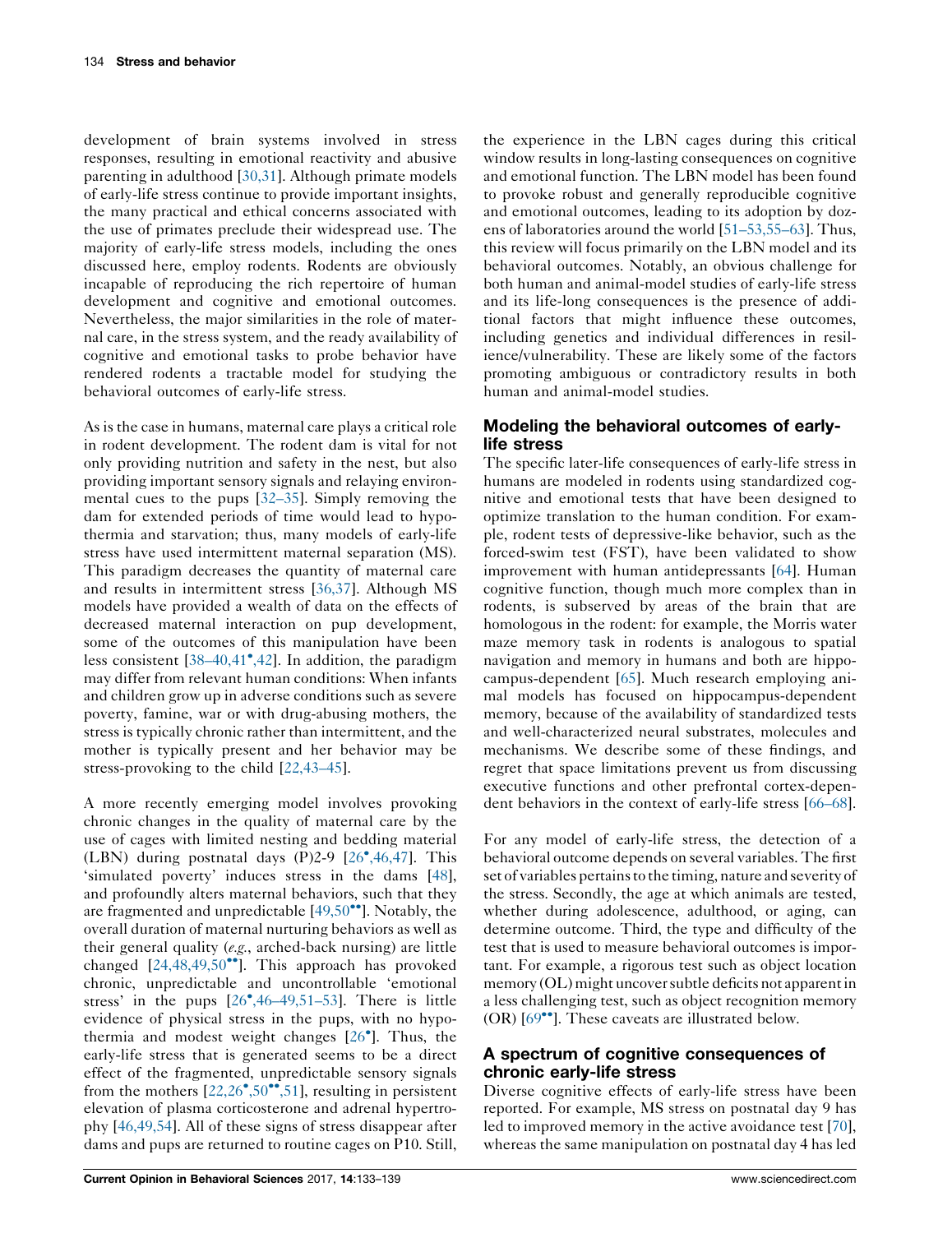development of brain systems involved in stress responses, resulting in emotional reactivity and abusive parenting in adulthood [[30,31](#page-4-0)]. Although primate models of early-life stress continue to provide important insights, the many practical and ethical concerns associated with the use of primates preclude their widespread use. The majority of early-life stress models, including the ones discussed here, employ rodents. Rodents are obviously incapable of reproducing the rich repertoire of human development and cognitive and emotional outcomes. Nevertheless, the major similarities in the role of maternal care, in the stress system, and the ready availability of cognitive and emotional tasks to probe behavior have rendered rodents a tractable model for studying the behavioral outcomes of early-life stress.

As is the case in humans, maternal care plays a critical role in rodent development. The rodent dam is vital for not only providing nutrition and safety in the nest, but also providing important sensory signals and relaying environmental cues to the pups [[32–35\]](#page-4-0). Simply removing the dam for extended periods of time would lead to hypothermia and starvation; thus, many models of early-life stress have used intermittent maternal separation (MS). This paradigm decreases the quantity of maternal care and results in intermittent stress [[36,37\]](#page-4-0). Although MS models have provided a wealth of data on the effects of decreased maternal interaction on pup development, some of the outcomes of this manipulation have been less consistent [[38–40,41](#page-4-0)<sup>°</sup>,42]. In addition, the paradigm may differ from relevant human conditions: When infants and children grow up in adverse conditions such as severe poverty, famine, war or with drug-abusing mothers, the stress is typically chronic rather than intermittent, and the mother is typically present and her behavior may be stress-provoking to the child [[22,43–45](#page-4-0)].

A more recently emerging model involves provoking chronic changes in the quality of maternal care by the use of cages with limited nesting and bedding material (LBN) during postnatal days (P)2-9 [26 [,46,47\]](#page-4-0). This 'simulated poverty' induces stress in the dams [\[48](#page-5-0)], and profoundly alters maternal behaviors, such that they are fragmented and unpredictable  $[49,50\text{°}$ <sup>o</sup>]. [Notably,](#page-5-0) the overall duration of maternal nurturing behaviors as well as their general quality (e.g., arched-back nursing) are little changed  $[24,48,49,50^{\bullet\bullet}]$  $[24,48,49,50^{\bullet\bullet}]$ . This approach has provoked chronic, unpredictable and uncontrollable 'emotional stress' in the pups [26<sup>•</sup>[,46–49,51–53\]](#page-4-0). There is little evidence of physical stress in the pups, with no hypothermia and modest weight changes [26 ]. [Thus,](#page-4-0) the early-life stress that is generated seems to be a direct effect of the fragmented, unpredictable sensory signals from the mothers  $[22,26^{\bullet},50^{\bullet\bullet},51]$  $[22,26^{\bullet},50^{\bullet\bullet},51]$  $[22,26^{\bullet},50^{\bullet\bullet},51]$ , resulting in persistent elevation of plasma corticosterone and adrenal hypertrophy [[46,49,54\]](#page-5-0). All of these signs of stress disappear after dams and pups are returned to routine cages on P10. Still,

the experience in the LBN cages during this critical window results in long-lasting consequences on cognitive and emotional function. The LBN model has been found to provoke robust and generally reproducible cognitive and emotional outcomes, leading to its adoption by dozens of laboratories around the world [[51–53,55–63](#page-5-0)]. Thus, this review will focus primarily on the LBN model and its behavioral outcomes. Notably, an obvious challenge for both human and animal-model studies of early-life stress and its life-long consequences is the presence of additional factors that might influence these outcomes, including genetics and individual differences in resilience/vulnerability. These are likely some of the factors promoting ambiguous or contradictory results in both human and animal-model studies.

# Modeling the behavioral outcomes of earlylife stress

The specific later-life consequences of early-life stress in humans are modeled in rodents using standardized cognitive and emotional tests that have been designed to optimize translation to the human condition. For example, rodent tests of depressive-like behavior, such as the forced-swim test (FST), have been validated to show improvement with human antidepressants [[64\]](#page-5-0). Human cognitive function, though much more complex than in rodents, is subserved by areas of the brain that are homologous in the rodent: for example, the Morris water maze memory task in rodents is analogous to spatial navigation and memory in humans and both are hippocampus-dependent [[65](#page-5-0)]. Much research employing animal models has focused on hippocampus-dependent memory, because of the availability of standardized tests and well-characterized neural substrates, molecules and mechanisms. We describe some of these findings, and regret that space limitations prevent us from discussing executive functions and other prefrontal cortex-dependent behaviors in the context of early-life stress [[66–68](#page-5-0)].

For any model of early-life stress, the detection of a behavioral outcome depends on several variables. The first set of variables pertainsto the timing, nature and severity of the stress. Secondly, the age at which animals are tested, whether during adolescence, adulthood, or aging, can determine outcome. Third, the type and difficulty of the test that is used to measure behavioral outcomes is important. For example, a rigorous test such as object location memory (OL) might uncover subtle deficits not apparent in a less challenging test, such as object recognition memory  $(OR)$  [69 $\cdot$ <sup>o</sup>]. These caveats are [illustrated](#page-5-0) below.

# A spectrum of cognitive consequences of chronic early-life stress

Diverse cognitive effects of early-life stress have been reported. For example, MS stress on postnatal day 9 has led to improved memory in the active avoidance test [[70](#page-5-0)], whereas the same manipulation on postnatal day 4 has led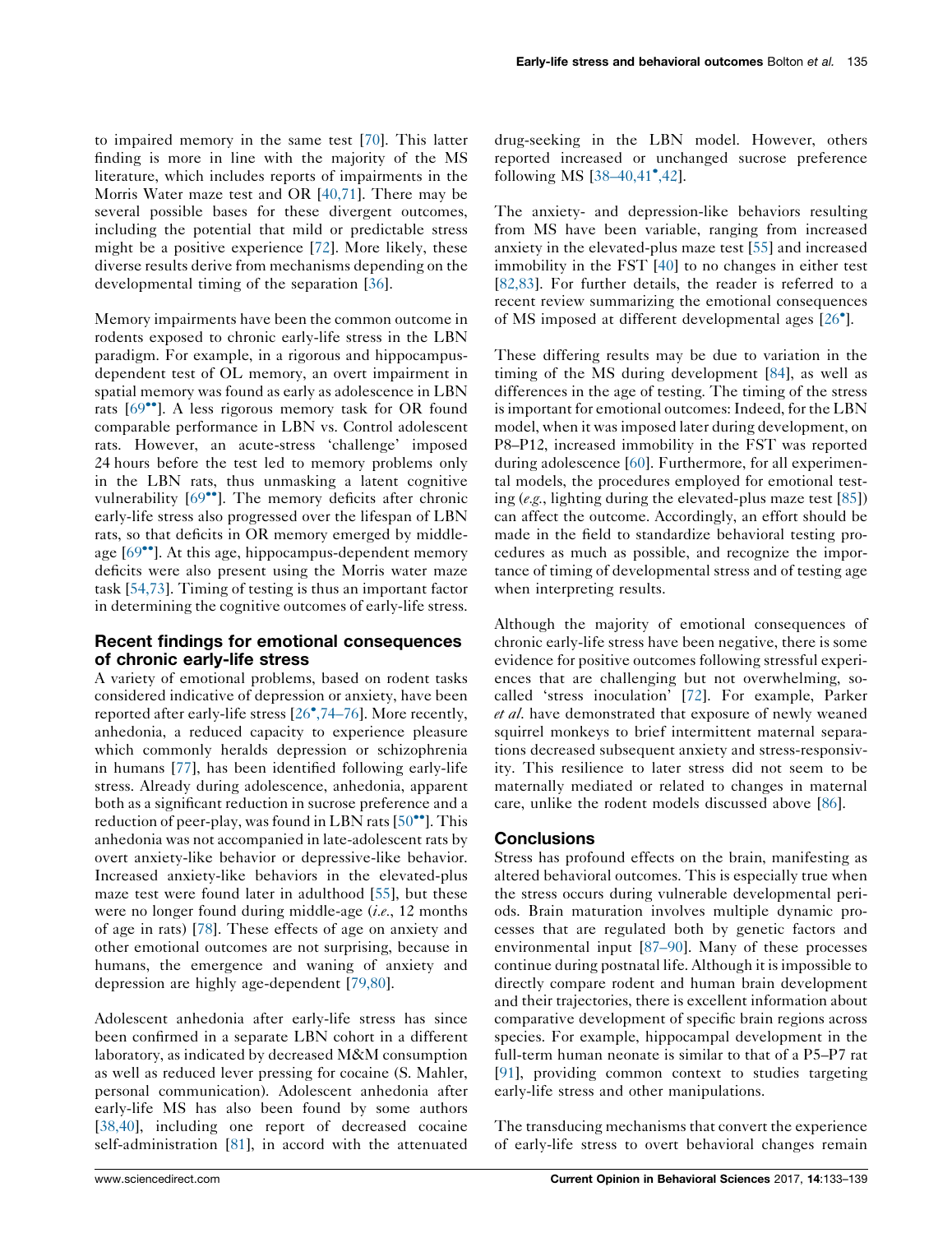to impaired memory in the same test [[70\]](#page-5-0). This latter finding is more in line with the majority of the MS literature, which includes reports of impairments in the Morris Water maze test and OR [\[40,71\]](#page-4-0). There may be several possible bases for these divergent outcomes, including the potential that mild or predictable stress might be a positive experience [\[72](#page-5-0)]. More likely, these diverse results derive from mechanisms depending on the developmental timing of the separation [\[36](#page-4-0)].

Memory impairments have been the common outcome in rodents exposed to chronic early-life stress in the LBN paradigm. For example, in a rigorous and hippocampusdependent test of OL memory, an overt impairment in spatial memory was found as early as adolescence in LBN rats [69<sup>••</sup>]. A less rigorous [memory](#page-5-0) task for OR found comparable performance in LBN vs. Control adolescent rats. However, an acute-stress 'challenge' imposed 24 hours before the test led to memory problems only in the LBN rats, thus unmasking a latent cognitive vulnerability  $[69^{\bullet\bullet}]$ . The [memory](#page-5-0) deficits after chronic early-life stress also progressed over the lifespan of LBN rats, so that deficits in OR memory emerged by middleage  $[69^{\bullet\bullet}]$ . At this age, [hippocampus-dependent](#page-5-0) memory deficits were also present using the Morris water maze task [[54,73](#page-5-0)]. Timing of testing is thus an important factor in determining the cognitive outcomes of early-life stress.

#### Recent findings for emotional consequences of chronic early-life stress

A variety of emotional problems, based on rodent tasks considered indicative of depression or anxiety, have been reported after early-life stress [26 [,74–76](#page-4-0)]. More recently, anhedonia, a reduced capacity to experience pleasure which commonly heralds depression or schizophrenia in humans [\[77](#page-6-0)], has been identified following early-life stress. Already during adolescence, anhedonia, apparent both as a significant reduction in sucrose preference and a reduction of peer-play, was found in LBN rats  $[50\text{''}]$ . [This](#page-5-0) anhedonia was not accompanied in late-adolescent rats by overt anxiety-like behavior or depressive-like behavior. Increased anxiety-like behaviors in the elevated-plus maze test were found later in adulthood [\[55](#page-5-0)], but these were no longer found during middle-age  $(i.e., 12$  months of age in rats) [[78\]](#page-6-0). These effects of age on anxiety and other emotional outcomes are not surprising, because in humans, the emergence and waning of anxiety and depression are highly age-dependent [[79,80](#page-6-0)].

Adolescent anhedonia after early-life stress has since been confirmed in a separate LBN cohort in a different laboratory, as indicated by decreased M&M consumption as well as reduced lever pressing for cocaine (S. Mahler, personal communication). Adolescent anhedonia after early-life MS has also been found by some authors [\[38,40\]](#page-4-0), including one report of decreased cocaine self-administration [\[81](#page-6-0)], in accord with the attenuated drug-seeking in the LBN model. However, others reported increased or unchanged sucrose preference following MS [38-40,41<sup>•</sup>,42].

The anxiety- and depression-like behaviors resulting from MS have been variable, ranging from increased anxiety in the elevated-plus maze test [[55\]](#page-5-0) and increased immobility in the FST [[40\]](#page-4-0) to no changes in either test [[82,83\]](#page-6-0). For further details, the reader is referred to a recent review summarizing the emotional consequences of MS imposed at different developmental ages [\[26](#page-4-0) ].

These differing results may be due to variation in the timing of the MS during development [\[84](#page-6-0)], as well as differences in the age of testing. The timing of the stress is important for emotional outcomes: Indeed, for the LBN model, when it wasimposed later during development, on P8–P12, increased immobility in the FST was reported during adolescence [\[60](#page-5-0)]. Furthermore, for all experimental models, the procedures employed for emotional testing (e.g., lighting during the elevated-plus maze test [[85\]](#page-6-0)) can affect the outcome. Accordingly, an effort should be made in the field to standardize behavioral testing procedures as much as possible, and recognize the importance of timing of developmental stress and of testing age when interpreting results.

Although the majority of emotional consequences of chronic early-life stress have been negative, there is some evidence for positive outcomes following stressful experiences that are challenging but not overwhelming, socalled 'stress inoculation' [[72\]](#page-5-0). For example, Parker et al. have demonstrated that exposure of newly weaned squirrel monkeys to brief intermittent maternal separations decreased subsequent anxiety and stress-responsivity. This resilience to later stress did not seem to be maternally mediated or related to changes in maternal care, unlike the rodent models discussed above [[86\]](#page-6-0).

# **Conclusions**

Stress has profound effects on the brain, manifesting as altered behavioral outcomes. This is especially true when the stress occurs during vulnerable developmental periods. Brain maturation involves multiple dynamic processes that are regulated both by genetic factors and environmental input [[87–90\]](#page-6-0). Many of these processes continue during postnatal life. Although it is impossible to directly compare rodent and human brain development and their trajectories, there is excellent information about comparative development of specific brain regions across species. For example, hippocampal development in the full-term human neonate is similar to that of a P5–P7 rat [[91](#page-6-0)], providing common context to studies targeting early-life stress and other manipulations.

The transducing mechanisms that convert the experience of early-life stress to overt behavioral changes remain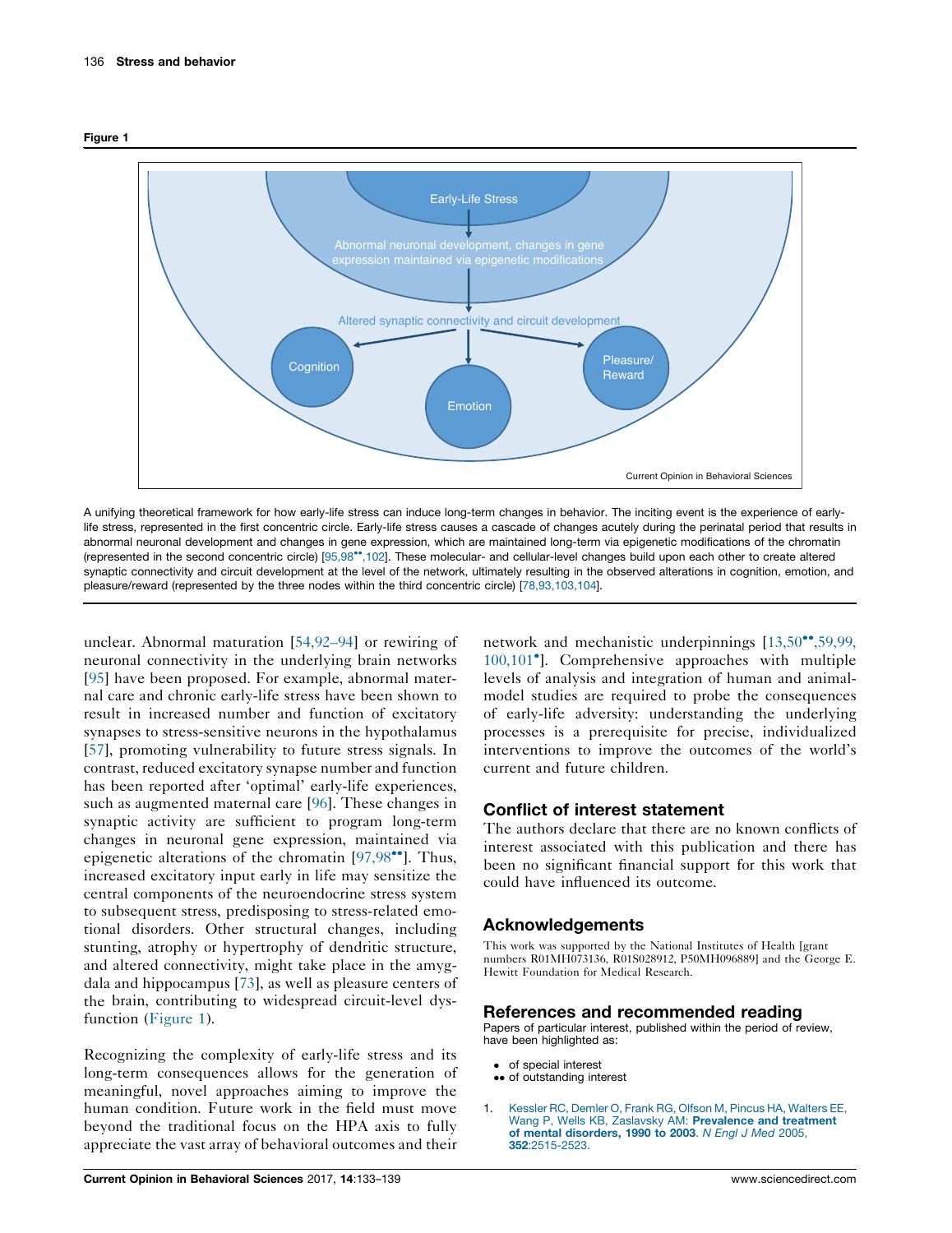<span id="page-3-0"></span>



A unifying theoretical framework for how early-life stress can induce long-term changes in behavior. The inciting event is the experience of earlylife stress, represented in the first concentric circle. Early-life stress causes a cascade of changes acutely during the perinatal period that results in abnormal neuronal development and changes in gene expression, which are maintained long-term via epigenetic modifications of the chromatin (represented in the second concentric circle) [\[95,98](#page-6-0)\*,102]. These molecular- and cellular-level changes build upon each other to create altered synaptic connectivity and circuit development at the level of the network, ultimately resulting in the observed alterations in cognition, emotion, and pleasure/reward (represented by the three nodes within the third concentric circle) [\[78,93,103,104\]](#page-6-0).

unclear. Abnormal maturation [\[54,92–94\]](#page-5-0) or rewiring of neuronal connectivity in the underlying brain networks [\[95](#page-6-0)] have been proposed. For example, abnormal maternal care and chronic early-life stress have been shown to result in increased number and function of excitatory synapses to stress-sensitive neurons in the hypothalamus [\[57](#page-5-0)], promoting vulnerability to future stress signals. In contrast, reduced excitatory synapse number and function has been reported after 'optimal' early-life experiences, such as augmented maternal care [[96\]](#page-6-0). These changes in synaptic activity are sufficient to program long-term changes in neuronal gene expression, maintained via epigenetic alterations of the chromatin  $[97,98\degree]$ . [Thus,](#page-6-0) increased excitatory input early in life may sensitize the central components of the neuroendocrine stress system to subsequent stress, predisposing to stress-related emotional disorders. Other structural changes, including stunting, atrophy or hypertrophy of dendritic structure, and altered connectivity, might take place in the amygdala and hippocampus [\[73](#page-5-0)], as well as pleasure centers of the brain, contributing to widespread circuit-level dysfunction (Figure 1).

Recognizing the complexity of early-life stress and its long-term consequences allows for the generation of meaningful, novel approaches aiming to improve the human condition. Future work in the field must move beyond the traditional focus on the HPA axis to fully appreciate the vast array of behavioral outcomes and their network and mechanistic underpinnings  $[13,50\text{°}^{\bullet},59,99,$  $[13,50\text{°}^{\bullet},59,99,$ 100,101 ]. [Comprehensive](#page-4-0) approaches with multiple levels of analysis and integration of human and animalmodel studies are required to probe the consequences of early-life adversity: understanding the underlying processes is a prerequisite for precise, individualized interventions to improve the outcomes of the world's current and future children.

# Conflict of interest statement

The authors declare that there are no known conflicts of interest associated with this publication and there has been no significant financial support for this work that could have influenced its outcome.

# Acknowledgements

This work was supported by the National Institutes of Health [grant numbers R01MH073136, R01S028912, P50MH096889] and the George E. Hewitt Foundation for Medical Research.

#### References and recommended reading

Papers of particular interest, published within the period of review, have been highlighted as:

- of special interest
- •• of outstanding interest
- 1. Kessler RC, Demler O, Frank RG, Olfson M, Pincus HA, [Walters](http://refhub.elsevier.com/S2352-1546(16)30186-3/sbref0005) EE, Wang P, Wells KB, Zaslavsky AM: [Prevalence](http://refhub.elsevier.com/S2352-1546(16)30186-3/sbref0005) and treatment of mental [disorders,](http://refhub.elsevier.com/S2352-1546(16)30186-3/sbref0005) 1990 to 2003. N Engl J Med 2005, 352[:2515-2523.](http://refhub.elsevier.com/S2352-1546(16)30186-3/sbref0005)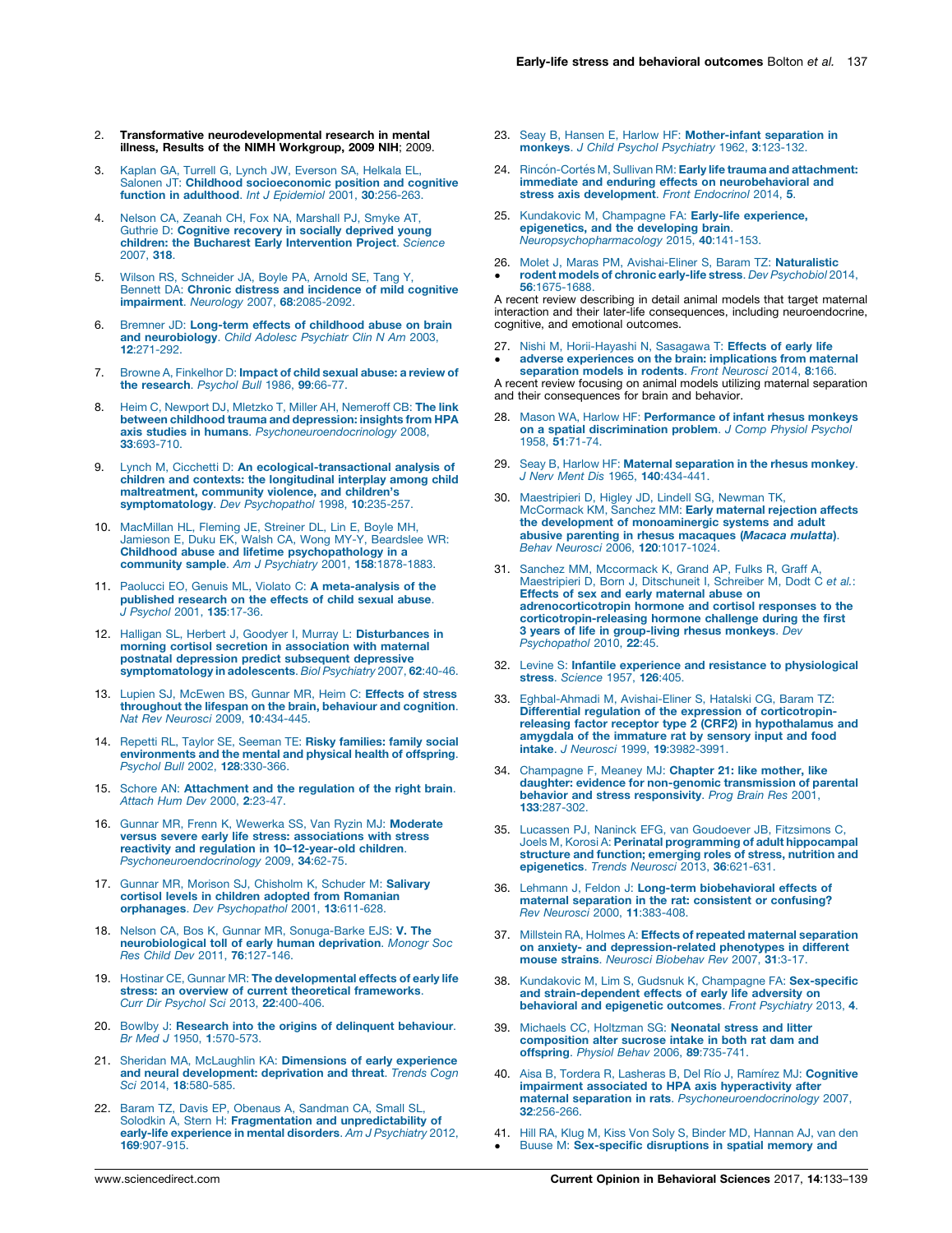- <span id="page-4-0"></span>Transformative neurodevelopmental research in mental illness, Results of the NIMH Workgroup, 2009 NIH; 2009.
- 3. Kaplan GA, Turrell G, Lynch JW, [Everson](http://refhub.elsevier.com/S2352-1546(16)30186-3/sbref0015) SA, Helkala EL, Salonen JT: Childhood [socioeconomic](http://refhub.elsevier.com/S2352-1546(16)30186-3/sbref0015) position and cognitive function in [adulthood](http://refhub.elsevier.com/S2352-1546(16)30186-3/sbref0015). Int J Epidemiol 2001, 30:256-263.
- 4. Nelson CA, Zeanah CH, Fox NA, [Marshall](http://refhub.elsevier.com/S2352-1546(16)30186-3/sbref0020) PJ, Smyke AT, Guthrie D: [Cognitive](http://refhub.elsevier.com/S2352-1546(16)30186-3/sbref0020) recovery in socially deprived young children: the Bucharest Early [Intervention](http://refhub.elsevier.com/S2352-1546(16)30186-3/sbref0020) Project. Science [2007,](http://refhub.elsevier.com/S2352-1546(16)30186-3/sbref0020) 318.
- 5. Wilson RS, [Schneider](http://refhub.elsevier.com/S2352-1546(16)30186-3/sbref0025) JA, Boyle PA, Arnold SE, Tang Y, Bennett DA: Chronic distress and [incidence](http://refhub.elsevier.com/S2352-1546(16)30186-3/sbref0025) of mild cognitive impairment. Neurology 2007, 68[:2085-2092.](http://refhub.elsevier.com/S2352-1546(16)30186-3/sbref0025)
- 6. Bremner JD: [Long-term](http://refhub.elsevier.com/S2352-1546(16)30186-3/sbref0030) effects of childhood abuse on brain and [neurobiology](http://refhub.elsevier.com/S2352-1546(16)30186-3/sbref0030). Child Adolesc Psychiatr Clin N Am 2003, 12[:271-292.](http://refhub.elsevier.com/S2352-1546(16)30186-3/sbref0030)
- 7. Browne A, [Finkelhor](http://refhub.elsevier.com/S2352-1546(16)30186-3/sbref0035) D: Impact of child sexual abuse: a review of the [research](http://refhub.elsevier.com/S2352-1546(16)30186-3/sbref0035). Psychol Bull 1986, 99:66-77.
- 8. Heim C, Newport DJ, Mletzko T, Miller AH, [Nemeroff](http://refhub.elsevier.com/S2352-1546(16)30186-3/sbref0040) CB: The link between childhood trauma and [depression:](http://refhub.elsevier.com/S2352-1546(16)30186-3/sbref0040) insights from HPA axis studies in humans. [Psychoneuroendocrinology](http://refhub.elsevier.com/S2352-1546(16)30186-3/sbref0040) 2008, 33[:693-710.](http://refhub.elsevier.com/S2352-1546(16)30186-3/sbref0040)
- 9. Lynch M, Cicchetti D: An [ecological-transactional](http://refhub.elsevier.com/S2352-1546(16)30186-3/sbref0045) analysis of children and contexts: the [longitudinal](http://refhub.elsevier.com/S2352-1546(16)30186-3/sbref0045) interplay among child [maltreatment,](http://refhub.elsevier.com/S2352-1546(16)30186-3/sbref0045) community violence, and children's [symptomatology](http://refhub.elsevier.com/S2352-1546(16)30186-3/sbref0045). Dev Psychopathol 1998, 10:235-257.
- 10. [MacMillan](http://refhub.elsevier.com/S2352-1546(16)30186-3/sbref0050) HL, Fleming JE, Streiner DL, Lin E, Boyle MH, Jamieson E, Duku EK, Walsh CA, Wong MY-Y, [Beardslee](http://refhub.elsevier.com/S2352-1546(16)30186-3/sbref0050) WR: Childhood abuse and lifetime [psychopathology](http://refhub.elsevier.com/S2352-1546(16)30186-3/sbref0050) in a<br>community sample. Am J Psychiatry 2001, 158[:1878-1883.](http://refhub.elsevier.com/S2352-1546(16)30186-3/sbref0050)
- 11. Paolucci EO, Genuis ML, Violato C: A [meta-analysis](http://refhub.elsevier.com/S2352-1546(16)30186-3/sbref0055) of the [published](http://refhub.elsevier.com/S2352-1546(16)30186-3/sbref0055) research on the effects of child sexual abuse. J [Psychol](http://refhub.elsevier.com/S2352-1546(16)30186-3/sbref0055) 2001, 135:17-36.
- 12. Halligan SL, Herbert J, Goodyer I, Murray L: [Disturbances](http://refhub.elsevier.com/S2352-1546(16)30186-3/sbref0060) in morning cortisol secretion in [association](http://refhub.elsevier.com/S2352-1546(16)30186-3/sbref0060) with maternal postnatal depression predict [subsequent](http://refhub.elsevier.com/S2352-1546(16)30186-3/sbref0060) depressive [symptomatology](http://refhub.elsevier.com/S2352-1546(16)30186-3/sbref0060) in adolescents. Biol Psychiatry 2007, 62:40-46.
- 13. Lupien SJ, [McEwen](http://refhub.elsevier.com/S2352-1546(16)30186-3/sbref0065) BS, Gunnar MR, Heim C: Effects of stress [throughout](http://refhub.elsevier.com/S2352-1546(16)30186-3/sbref0065) the lifespan on the brain, behaviour and cognition. Nat Rev Neurosci 2009, 10[:434-445.](http://refhub.elsevier.com/S2352-1546(16)30186-3/sbref0065)
- 14. Repetti RL, Taylor SE, Seeman TE: Risky [families:](http://refhub.elsevier.com/S2352-1546(16)30186-3/sbref0070) family social [environments](http://refhub.elsevier.com/S2352-1546(16)30186-3/sbref0070) and the mental and physical health of offspring. Psychol Bull 2002, 128[:330-366.](http://refhub.elsevier.com/S2352-1546(16)30186-3/sbref0070)
- 15. Schore AN: [Attachment](http://refhub.elsevier.com/S2352-1546(16)30186-3/sbref0075) and the regulation of the right brain. Attach Hum Dev 2000, 2[:23-47.](http://refhub.elsevier.com/S2352-1546(16)30186-3/sbref0075)
- 16. Gunnar MR, Frenn K, Wewerka SS, Van Ryzin MJ: [Moderate](http://refhub.elsevier.com/S2352-1546(16)30186-3/sbref0080) versus severe early life stress: [associations](http://refhub.elsevier.com/S2352-1546(16)30186-3/sbref0080) with stress reactivity and regulation in [10–12-year-old](http://refhub.elsevier.com/S2352-1546(16)30186-3/sbref0080) children. [Psychoneuroendocrinology](http://refhub.elsevier.com/S2352-1546(16)30186-3/sbref0080) 2009, 34:62-75.
- 17. Gunnar MR, Morison SJ, [Chisholm](http://refhub.elsevier.com/S2352-1546(16)30186-3/sbref0085) K, Schuder M: Salivary cortisol levels in children adopted from [Romanian](http://refhub.elsevier.com/S2352-1546(16)30186-3/sbref0085) orphanages. Dev [Psychopathol](http://refhub.elsevier.com/S2352-1546(16)30186-3/sbref0085) 2001, 13:611-628.
- 18. Nelson CA, Bos K, Gunnar MR, [Sonuga-Barke](http://refhub.elsevier.com/S2352-1546(16)30186-3/sbref0090) EJS: V. The [neurobiological](http://refhub.elsevier.com/S2352-1546(16)30186-3/sbref0090) toll of early human deprivation. Monogr Soc Res Child Dev 2011, 76[:127-146.](http://refhub.elsevier.com/S2352-1546(16)30186-3/sbref0090)
- 19. Hostinar CE, Gunnar MR: The [developmental](http://refhub.elsevier.com/S2352-1546(16)30186-3/sbref0095) effects of early life stress: an overview of current theoretical [frameworks](http://refhub.elsevier.com/S2352-1546(16)30186-3/sbref0095). Curr Dir Psychol Sci 2013, 22[:400-406.](http://refhub.elsevier.com/S2352-1546(16)30186-3/sbref0095)
- 20. Bowlby J: Research into the origins of [delinquent](http://refhub.elsevier.com/S2352-1546(16)30186-3/sbref0100) behaviour. Br Med J 1950, 1[:570-573.](http://refhub.elsevier.com/S2352-1546(16)30186-3/sbref0100)
- 21. Sheridan MA, McLaughlin KA: [Dimensions](http://refhub.elsevier.com/S2352-1546(16)30186-3/sbref0105) of early experience<br>and neural [development:](http://refhub.elsevier.com/S2352-1546(16)30186-3/sbref0105) deprivation and threat. Trends Cogn Sci 2014, 18[:580-585.](http://refhub.elsevier.com/S2352-1546(16)30186-3/sbref0105)
- 22. Baram TZ, Davis EP, Obenaus A, [Sandman](http://refhub.elsevier.com/S2352-1546(16)30186-3/sbref0110) CA, Small SL, Solodkin A, Stern H: Fragmentation and [unpredictability](http://refhub.elsevier.com/S2352-1546(16)30186-3/sbref0110) of early-life [experience](http://refhub.elsevier.com/S2352-1546(16)30186-3/sbref0110) in mental disorders. Am J Psychiatry 2012, 169[:907-915.](http://refhub.elsevier.com/S2352-1546(16)30186-3/sbref0110)
- 23. Seay B, Hansen E, Harlow HF: [Mother-infant](http://refhub.elsevier.com/S2352-1546(16)30186-3/sbref0115) separation in monkeys. J Child Psychol [Psychiatry](http://refhub.elsevier.com/S2352-1546(16)30186-3/sbref0115) 1962, 3:123-132
- 24. Rincón-Cortés M, Sullivan RM: Early life trauma and [attachment:](http://refhub.elsevier.com/S2352-1546(16)30186-3/sbref0120) immediate and enduring effects on [neurobehavioral](http://refhub.elsevier.com/S2352-1546(16)30186-3/sbref0120) and<br>stress axis [development](http://refhub.elsevier.com/S2352-1546(16)30186-3/sbref0120). Front Endocrinol 2014, 5.
- 25. Kundakovic M, Champagne FA: Early-life [experience,](http://refhub.elsevier.com/S2352-1546(16)30186-3/sbref0125) [epigenetics,](http://refhub.elsevier.com/S2352-1546(16)30186-3/sbref0125) and the developing brain. [Neuropsychopharmacology](http://refhub.elsevier.com/S2352-1546(16)30186-3/sbref0125) 2015, 40:141-153.
- 26. Molet J, Maras PM, [Avishai-Eliner](http://refhub.elsevier.com/S2352-1546(16)30186-3/sbref0130) S, Baram TZ: Naturalistic
- $\cdot$ rodent models of chronic early-life stress. Dev [Psychobiol](http://refhub.elsevier.com/S2352-1546(16)30186-3/sbref0130) 2014, 56[:1675-1688.](http://refhub.elsevier.com/S2352-1546(16)30186-3/sbref0130) A recent review describing in detail animal models that target maternal interaction and their later-life consequences, including neuroendocrine,
- cognitive, and emotional outcomes. 27. Nishi M, [Horii-Hayashi](http://refhub.elsevier.com/S2352-1546(16)30186-3/sbref0135) N, Sasagawa T: Effects of early life  $\cdot$ adverse experiences on the brain: [implications](http://refhub.elsevier.com/S2352-1546(16)30186-3/sbref0135) from maternal
- [separation](http://refhub.elsevier.com/S2352-1546(16)30186-3/sbref0135) models in rodents. Front Neurosci 2014, 8:166. A recent review focusing on animal models utilizing maternal separation and their consequences for brain and behavior.
- 28. Mason WA, Harlow HF: [Performance](http://refhub.elsevier.com/S2352-1546(16)30186-3/sbref0140) of infant rhesus monkeys on a spatial [discrimination](http://refhub.elsevier.com/S2352-1546(16)30186-3/sbref0140) problem. J Comp Physiol Psychol 1958, 51[:71-74.](http://refhub.elsevier.com/S2352-1546(16)30186-3/sbref0140)
- 29. Seay B, Harlow HF: Maternal [separation](http://refhub.elsevier.com/S2352-1546(16)30186-3/sbref0145) in the rhesus monkey. J Nerv Ment Dis 1965, 140[:434-441.](http://refhub.elsevier.com/S2352-1546(16)30186-3/sbref0145)
- 30. [Maestripieri](http://refhub.elsevier.com/S2352-1546(16)30186-3/sbref0150) D, Higley JD, Lindell SG, Newman TK, [McCormack](http://refhub.elsevier.com/S2352-1546(16)30186-3/sbref0150) KM, Sanchez MM: Early maternal rejection affects the development of [monoaminergic](http://refhub.elsevier.com/S2352-1546(16)30186-3/sbref0150) systems and adult abusive parenting in rhesus [macaques](http://refhub.elsevier.com/S2352-1546(16)30186-3/sbref0150) (Macaca mulatta). Behav Neurosci 2006, 120[:1017-1024.](http://refhub.elsevier.com/S2352-1546(16)30186-3/sbref0150)
- 31. Sanchez MM, [Mccormack](http://refhub.elsevier.com/S2352-1546(16)30186-3/sbref0155) K, Grand AP, Fulks R, Graff A, [Maestripieri](http://refhub.elsevier.com/S2352-1546(16)30186-3/sbref0155) D, Born J, Ditschuneit I, Schreiber M, Dodt C et al.: Effects of sex and early [maternal](http://refhub.elsevier.com/S2352-1546(16)30186-3/sbref0155) abuse on [adrenocorticotropin](http://refhub.elsevier.com/S2352-1546(16)30186-3/sbref0155) hormone and cortisol responses to the [corticotropin-releasing](http://refhub.elsevier.com/S2352-1546(16)30186-3/sbref0155) hormone challenge during the first 3 years of life in [group-living](http://refhub.elsevier.com/S2352-1546(16)30186-3/sbref0155) rhesus monkeys. Dev [Psychopathol](http://refhub.elsevier.com/S2352-1546(16)30186-3/sbref0155) 2010, 22:45.
- 32. Levine S: Infantile experience and resistance to [physiological](http://refhub.elsevier.com/S2352-1546(16)30186-3/sbref0160) stress. [Science](http://refhub.elsevier.com/S2352-1546(16)30186-3/sbref0160) 1957, 126:405.
- 33. [Eghbal-Ahmadi](http://refhub.elsevier.com/S2352-1546(16)30186-3/sbref0165) M, Avishai-Eliner S, Hatalski CG, Baram TZ: Differential regulation of the expression of [corticotropin](http://refhub.elsevier.com/S2352-1546(16)30186-3/sbref0165)releasing factor receptor type 2 (CRF2) in [hypothalamus](http://refhub.elsevier.com/S2352-1546(16)30186-3/sbref0165) and [amygdala](http://refhub.elsevier.com/S2352-1546(16)30186-3/sbref0165) of the immature rat by sensory input and food intake. J Neurosci 1999, 19[:3982-3991.](http://refhub.elsevier.com/S2352-1546(16)30186-3/sbref0165)
- 34. [Champagne](http://refhub.elsevier.com/S2352-1546(16)30186-3/sbref0170) F, Meaney MJ: Chapter 21: like mother, like daughter: evidence for [non-genomic](http://refhub.elsevier.com/S2352-1546(16)30186-3/sbref0170) transmission of parental behavior and stress [responsivity](http://refhub.elsevier.com/S2352-1546(16)30186-3/sbref0170). Prog Brain Res 2001, 133[:287-302.](http://refhub.elsevier.com/S2352-1546(16)30186-3/sbref0170)
- 35. Lucassen PJ, Naninck EFG, van [Goudoever](http://refhub.elsevier.com/S2352-1546(16)30186-3/sbref0175) JB, Fitzsimons C, Joels M, Korosi A: Perinatal [programming](http://refhub.elsevier.com/S2352-1546(16)30186-3/sbref0175) of adult hippocampal structure and function; [emerging](http://refhub.elsevier.com/S2352-1546(16)30186-3/sbref0175) roles of stress, nutrition and [epigenetics](http://refhub.elsevier.com/S2352-1546(16)30186-3/sbref0175). Trends Neurosci 2013, 36:621-631.
- 36. Lehmann J, Feldon J: Long-term [biobehavioral](http://refhub.elsevier.com/S2352-1546(16)30186-3/sbref0180) effects of maternal separation in the rat: consistent or [confusing?](http://refhub.elsevier.com/S2352-1546(16)30186-3/sbref0180) Rev Neurosci 2000, 11[:383-408.](http://refhub.elsevier.com/S2352-1546(16)30186-3/sbref0180)
- 37. Millstein RA, Holmes A: Effects of repeated maternal [separation](http://refhub.elsevier.com/S2352-1546(16)30186-3/sbref0185) on anxiety- and [depression-related](http://refhub.elsevier.com/S2352-1546(16)30186-3/sbref0185) phenotypes in different mouse strains. Neurosci [Biobehav](http://refhub.elsevier.com/S2352-1546(16)30186-3/sbref0185) Rev 2007, 31:3-17.
- 38. Kundakovic M, Lim S, Gudsnuk K, Champagne FA: [Sex-specific](http://refhub.elsevier.com/S2352-1546(16)30186-3/sbref0190) and [strain-dependent](http://refhub.elsevier.com/S2352-1546(16)30186-3/sbref0190) effects of early life adversity on behavioral and [epigenetic](http://refhub.elsevier.com/S2352-1546(16)30186-3/sbref0190) outcomes. Front Psychiatry 2013, 4.
- 39. Michaels CC, Holtzman SG: [Neonatal](http://refhub.elsevier.com/S2352-1546(16)30186-3/sbref0195) stress and litter [composition](http://refhub.elsevier.com/S2352-1546(16)30186-3/sbref0195) alter sucrose intake in both rat dam and offspring. Physiol Behav 2006, 89[:735-741.](http://refhub.elsevier.com/S2352-1546(16)30186-3/sbref0195)
- 40. Aisa B, Tordera R, Lasheras B, Del Río J, Ramírez MJ: [Cognitive](http://refhub.elsevier.com/S2352-1546(16)30186-3/sbref0200) impairment associated to HPA axis [hyperactivity](http://refhub.elsevier.com/S2352-1546(16)30186-3/sbref0200) after<br>maternal separation in rats. [Psychoneuroendocrinology](http://refhub.elsevier.com/S2352-1546(16)30186-3/sbref0200) 2007, 32[:256-266.](http://refhub.elsevier.com/S2352-1546(16)30186-3/sbref0200)
- 41.  $\bullet$ Hill RA, Klug M, Kiss Von Soly S, Binder MD, [Hannan](http://refhub.elsevier.com/S2352-1546(16)30186-3/sbref0205) AJ, van den Buuse M: [Sex-specific](http://refhub.elsevier.com/S2352-1546(16)30186-3/sbref0205) disruptions in spatial memory and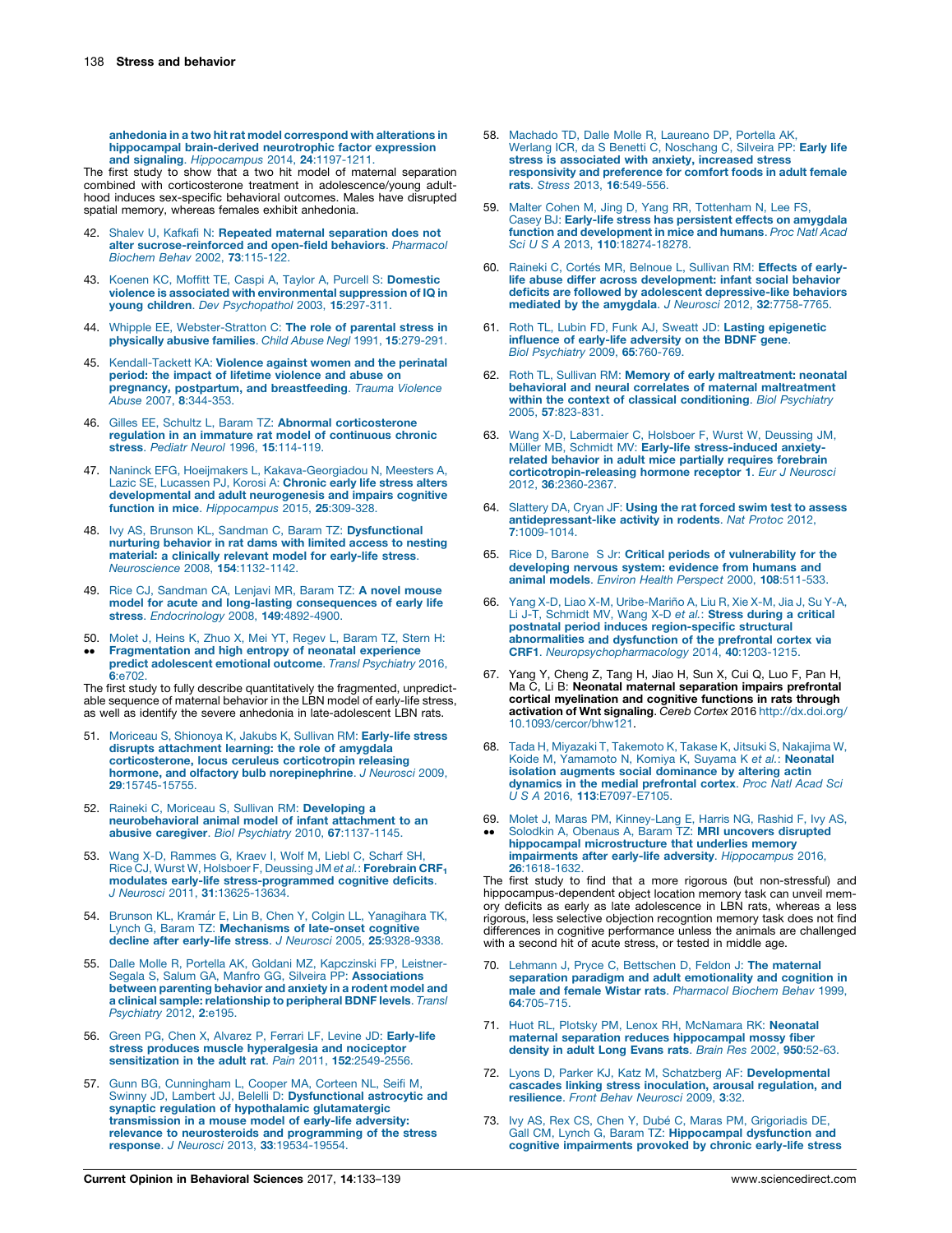<span id="page-5-0"></span>anhedonia in a two hit rat model [correspond](http://refhub.elsevier.com/S2352-1546(16)30186-3/sbref0205) with alterations in hippocampal [brain-derived](http://refhub.elsevier.com/S2352-1546(16)30186-3/sbref0205) neurotrophic factor expression and signaling. [Hippocampus](http://refhub.elsevier.com/S2352-1546(16)30186-3/sbref0205) 2014, 24:1197-1211.

The first study to show that a two hit model of maternal separation combined with corticosterone treatment in adolescence/young adulthood induces sex-specific behavioral outcomes. Males have disrupted spatial memory, whereas females exhibit anhedonia.

- 42. Shalev U, Kafkafi N: Repeated maternal [separation](http://refhub.elsevier.com/S2352-1546(16)30186-3/sbref0210) does not alter [sucrose-reinforced](http://refhub.elsevier.com/S2352-1546(16)30186-3/sbref0210) and open-field behaviors. Pharmacol Biochem Behav 2002, 73[:115-122.](http://refhub.elsevier.com/S2352-1546(16)30186-3/sbref0210)
- 43. Koenen KC, Moffitt TE, Caspi A, Taylor A, Purcell S: [Domestic](http://refhub.elsevier.com/S2352-1546(16)30186-3/sbref0215) violence is associated with [environmental](http://refhub.elsevier.com/S2352-1546(16)30186-3/sbref0215) suppression of IQ in young children. Dev [Psychopathol](http://refhub.elsevier.com/S2352-1546(16)30186-3/sbref0215) 2003, 15:297-311.
- 44. Whipple EE, [Webster-Stratton](http://refhub.elsevier.com/S2352-1546(16)30186-3/sbref0220) C: The role of parental stress in [physically](http://refhub.elsevier.com/S2352-1546(16)30186-3/sbref0220) abusive families. Child Abuse Negl 1991, 15:279-291.
- 45. [Kendall-Tackett](http://refhub.elsevier.com/S2352-1546(16)30186-3/sbref0225) KA: Violence against women and the perinatal period: the impact of lifetime [violence](http://refhub.elsevier.com/S2352-1546(16)30186-3/sbref0225) and abuse on **pregnancy, postpartum, and [breastfeeding](http://refhub.elsevier.com/S2352-1546(16)30186-3/sbref0225)**. *Trauma Violence*<br>Abuse 2007, **8**[:344-353.](http://refhub.elsevier.com/S2352-1546(16)30186-3/sbref0225)
- 46. Gilles EE, Schultz L, Baram TZ: Abnormal [corticosterone](http://refhub.elsevier.com/S2352-1546(16)30186-3/sbref0230) regulation in an immature rat model of [continuous](http://refhub.elsevier.com/S2352-1546(16)30186-3/sbref0230) chronic stress. Pediatr Neurol 1996, 15[:114-119.](http://refhub.elsevier.com/S2352-1546(16)30186-3/sbref0230)
- 47. Naninck EFG, Hoeijmakers L, [Kakava-Georgiadou](http://refhub.elsevier.com/S2352-1546(16)30186-3/sbref0235) N, Meesters A, Lazic SE, [Lucassen](http://refhub.elsevier.com/S2352-1546(16)30186-3/sbref0235) PJ, Korosi A: Chronic early life stress alters [developmental](http://refhub.elsevier.com/S2352-1546(16)30186-3/sbref0235) and adult neurogenesis and impairs cognitive function in mice. [Hippocampus](http://refhub.elsevier.com/S2352-1546(16)30186-3/sbref0235) 2015, 25:309-328.
- 48. Ivy AS, Brunson KL, Sandman C, Baram TZ: [Dysfunctional](http://refhub.elsevier.com/S2352-1546(16)30186-3/sbref0240)<br>[nurturing](http://refhub.elsevier.com/S2352-1546(16)30186-3/sbref0240) behavior in rat dams with limited access to nesting **[material:](http://refhub.elsevier.com/S2352-1546(16)30186-3/sbref0240) a clinically relevant model for early-life stress.**<br>[Neuroscience](http://refhub.elsevier.com/S2352-1546(16)30186-3/sbref0240) 2008, **154**:1132-1142.
- 49. Rice CJ, [Sandman](http://refhub.elsevier.com/S2352-1546(16)30186-3/sbref0245) CA, Lenjavi MR, Baram TZ: A novel mouse model for acute and long-lasting [consequences](http://refhub.elsevier.com/S2352-1546(16)30186-3/sbref0245) of early life stress. [Endocrinology](http://refhub.elsevier.com/S2352-1546(16)30186-3/sbref0245) 2008, 149:4892-4900.
- 50. Molet J, Heins K, Zhuo X, Mei YT, Regev L, [Baram](http://refhub.elsevier.com/S2352-1546(16)30186-3/sbref0250) TZ, Stern H:
- $\ddot{\phantom{0}}$ [Fragmentation](http://refhub.elsevier.com/S2352-1546(16)30186-3/sbref0250) and high entropy of neonatal experience predict [adolescent](http://refhub.elsevier.com/S2352-1546(16)30186-3/sbref0250) emotional outcome. Transl Psychiatry 2016, 6[:e702.](http://refhub.elsevier.com/S2352-1546(16)30186-3/sbref0250)

The first study to fully describe quantitatively the fragmented, unpredict-able sequence of maternal behavior in the LBN model of early-life stress, as well as identify the severe anhedonia in late-adolescent LBN rats.

- Moriceau S, Shionoya K, Jakubs K, Sullivan RM: [Early-life](http://refhub.elsevier.com/S2352-1546(16)30186-3/sbref0255) stress disrupts [attachment](http://refhub.elsevier.com/S2352-1546(16)30186-3/sbref0255) learning: the role of amygdala [corticosterone,](http://refhub.elsevier.com/S2352-1546(16)30186-3/sbref0255) locus ceruleus corticotropin releasing hormone, and olfactory bulb [norepinephrine](http://refhub.elsevier.com/S2352-1546(16)30186-3/sbref0255). J Neurosci 2009, 29[:15745-15755.](http://refhub.elsevier.com/S2352-1546(16)30186-3/sbref0255)
- 52. Raineki C, Moriceau S, Sullivan RM: [Developing](http://refhub.elsevier.com/S2352-1546(16)30186-3/sbref0260) a [neurobehavioral](http://refhub.elsevier.com/S2352-1546(16)30186-3/sbref0260) animal model of infant attachment to an abusive caregiver. Biol Psychiatry 2010, 67[:1137-1145.](http://refhub.elsevier.com/S2352-1546(16)30186-3/sbref0260)
- 53. Wang X-D, [Rammes](http://refhub.elsevier.com/S2352-1546(16)30186-3/sbref0265) G, Kraev I, Wolf M, Liebl C, Scharf SH,<br>Rice CJ, Wurst W, Holsboer F, Deussing JM e*t al.*: **[Forebrain](http://refhub.elsevier.com/S2352-1546(16)30186-3/sbref0265) CRF**<sub>1</sub> modulates early-life [stress-programmed](http://refhub.elsevier.com/S2352-1546(16)30186-3/sbref0265) cognitive deficits. J Neurosci 2011, 31[:13625-13634.](http://refhub.elsevier.com/S2352-1546(16)30186-3/sbref0265)
- 54. Brunson KL, Kramár E, Lin B, Chen Y, Colgin LL, [Yanagihara](http://refhub.elsevier.com/S2352-1546(16)30186-3/sbref0270) TK, Lynch G, Baram TZ: [Mechanisms](http://refhub.elsevier.com/S2352-1546(16)30186-3/sbref0270) of late-onset cognitive decline after early-life stress. J Neurosci 2005, 25[:9328-9338.](http://refhub.elsevier.com/S2352-1546(16)30186-3/sbref0270)
- 55. Dalle Molle R, Portella AK, Goldani MZ, [Kapczinski](http://refhub.elsevier.com/S2352-1546(16)30186-3/sbref0275) FP, Leistner-Segala S, Salum GA, Manfro GG, Silveira PP: [Associations](http://refhub.elsevier.com/S2352-1546(16)30186-3/sbref0275) between [parenting](http://refhub.elsevier.com/S2352-1546(16)30186-3/sbref0275) behavior and anxiety in a rodent model and a clinical sample: [relationship](http://refhub.elsevier.com/S2352-1546(16)30186-3/sbref0275) to peripheral BDNF levels. Transl [Psychiatry](http://refhub.elsevier.com/S2352-1546(16)30186-3/sbref0275) 2012, 2:e195.
- 56. Green PG, Chen X, Alvarez P, Ferrari LF, Levine JD: [Early-life](http://refhub.elsevier.com/S2352-1546(16)30186-3/sbref0280) stress produces muscle [hyperalgesia](http://refhub.elsevier.com/S2352-1546(16)30186-3/sbref0280) and nociceptor [sensitization](http://refhub.elsevier.com/S2352-1546(16)30186-3/sbref0280) in the adult rat. Pain 2011, 152:2549-2556.
- 57. Gunn BG, [Cunningham](http://refhub.elsevier.com/S2352-1546(16)30186-3/sbref0285) L, Cooper MA, Corteen NL, Seifi M, Swinny JD, Lambert JJ, Belelli D: [Dysfunctional](http://refhub.elsevier.com/S2352-1546(16)30186-3/sbref0285) astrocytic and synaptic regulation of hypothalamic [glutamatergic](http://refhub.elsevier.com/S2352-1546(16)30186-3/sbref0285) [transmission](http://refhub.elsevier.com/S2352-1546(16)30186-3/sbref0285) in a mouse model of early-life adversity: relevance to [neurosteroids](http://refhub.elsevier.com/S2352-1546(16)30186-3/sbref0285) and programming of the stress response. J Neurosci 2013, 33[:19534-19554.](http://refhub.elsevier.com/S2352-1546(16)30186-3/sbref0285)
- 58. Machado TD, Dalle Molle R, [Laureano](http://refhub.elsevier.com/S2352-1546(16)30186-3/sbref0290) DP, Portella AK,<br>Werlang ICR, da S Benetti C, [Noschang](http://refhub.elsevier.com/S2352-1546(16)30186-3/sbref0290) C, Silveira PP: Early life stress is [associated](http://refhub.elsevier.com/S2352-1546(16)30186-3/sbref0290) with anxiety, increased stress [responsivity](http://refhub.elsevier.com/S2352-1546(16)30186-3/sbref0290) and preference for comfort foods in adult female rats. Stress 2013, 16[:549-556.](http://refhub.elsevier.com/S2352-1546(16)30186-3/sbref0290)
- 59. Malter Cohen M, Jing D, Yang RR, [Tottenham](http://refhub.elsevier.com/S2352-1546(16)30186-3/sbref0295) N, Lee FS, Casey BJ: Early-life stress has [persistent](http://refhub.elsevier.com/S2352-1546(16)30186-3/sbref0295) effects on amygdala function and [development](http://refhub.elsevier.com/S2352-1546(16)30186-3/sbref0295) in mice and humans. Proc Natl Acad Sci U S A 2013, 110[:18274-18278.](http://refhub.elsevier.com/S2352-1546(16)30186-3/sbref0295)
- 60. Raineki C, Cortés MR, [Belnoue](http://refhub.elsevier.com/S2352-1546(16)30186-3/sbref0300) L, Sullivan RM: Effects of earlylife abuse differ across [development:](http://refhub.elsevier.com/S2352-1546(16)30186-3/sbref0300) infant social behavior deficits are followed by adolescent [depressive-like](http://refhub.elsevier.com/S2352-1546(16)30186-3/sbref0300) behaviors mediated by the amygdala. J Neurosci 2012, 32[:7758-7765.](http://refhub.elsevier.com/S2352-1546(16)30186-3/sbref0300)
- Roth TL, Lubin FD, Funk AJ, Sweatt JD: Lasting [epigenetic](http://refhub.elsevier.com/S2352-1546(16)30186-3/sbref0305) influence of early-life [adversity](http://refhub.elsevier.com/S2352-1546(16)30186-3/sbref0305) on the BDNF gene. Biol [Psychiatry](http://refhub.elsevier.com/S2352-1546(16)30186-3/sbref0305) 2009, 65:760-769.
- 62. Roth TL, Sullivan RM: Memory of early [maltreatment:](http://refhub.elsevier.com/S2352-1546(16)30186-3/sbref0310) neonatal behavioral and neural correlates of maternal [maltreatment](http://refhub.elsevier.com/S2352-1546(16)30186-3/sbref0310) within the context of classical [conditioning](http://refhub.elsevier.com/S2352-1546(16)30186-3/sbref0310). Biol Psychiatry 2005, 57[:823-831.](http://refhub.elsevier.com/S2352-1546(16)30186-3/sbref0310)
- 63. Wang X-D, [Labermaier](http://refhub.elsevier.com/S2352-1546(16)30186-3/sbref0315) C, Holsboer F, Wurst W, Deussing JM, Müller MB, Schmidt MV: Early-life [stress-induced](http://refhub.elsevier.com/S2352-1546(16)30186-3/sbref0315) anxietyrelated behavior in adult mice partially requires [forebrain](http://refhub.elsevier.com/S2352-1546(16)30186-3/sbref0315) [corticotropin-releasing](http://refhub.elsevier.com/S2352-1546(16)30186-3/sbref0315) hormone receptor 1. Eur J Neurosci 2012, 36[:2360-2367.](http://refhub.elsevier.com/S2352-1546(16)30186-3/sbref0315)
- 64. [Slattery](http://refhub.elsevier.com/S2352-1546(16)30186-3/sbref0320) DA, Cryan JF: Using the rat forced swim test to assess [antidepressant-like](http://refhub.elsevier.com/S2352-1546(16)30186-3/sbref0320) activity in rodents. Nat Protoc 2012, 7[:1009-1014.](http://refhub.elsevier.com/S2352-1546(16)30186-3/sbref0320)
- 65. Rice D, Barone S Jr: Critical periods of [vulnerability](http://refhub.elsevier.com/S2352-1546(16)30186-3/sbref0325) for the [developing](http://refhub.elsevier.com/S2352-1546(16)30186-3/sbref0325) nervous system: evidence from humans and animal models. Environ Health Perspect 2000, 108[:511-533.](http://refhub.elsevier.com/S2352-1546(16)30186-3/sbref0325)
- 66. Yang X-D, Liao X-M, Uribe-Mariño A, Liu R, Xie X-M, Jia J, Su Y-A,<br>Li J-T, [Schmidt](http://refhub.elsevier.com/S2352-1546(16)30186-3/sbref0330) MV, Wang X-D *et al.*: **Stress during a critical** postnatal period induces [region-specific](http://refhub.elsevier.com/S2352-1546(16)30186-3/sbref0330) structural [abnormalities](http://refhub.elsevier.com/S2352-1546(16)30186-3/sbref0330) and dysfunction of the prefrontal cortex via CRF1. [Neuropsychopharmacology](http://refhub.elsevier.com/S2352-1546(16)30186-3/sbref0330) 2014, 40:1203-1215.
- 67. Yang Y, Cheng Z, Tang H, Jiao H, Sun X, Cui Q, Luo F, Pan H, Ma C, Li B: Neonatal maternal separation impairs prefrontal cortical myelination and cognitive functions in rats through activation of Wnt signaling. Cereb Cortex 2016 [http://dx.doi.org/](http://dx.doi.org/10.1093/cercor/bhw121) [10.1093/cercor/bhw121](http://dx.doi.org/10.1093/cercor/bhw121).
- 68. Tada H, Miyazaki T, [Takemoto](http://refhub.elsevier.com/S2352-1546(16)30186-3/sbref0340) K, Takase K, Jitsuki S, Nakajima W, Koide M, [Yamamoto](http://refhub.elsevier.com/S2352-1546(16)30186-3/sbref0340) N, Komiya K, Suyama K et al.: Neonatal isolation augments social [dominance](http://refhub.elsevier.com/S2352-1546(16)30186-3/sbref0340) by altering actin dynamics in the medial [prefrontal](http://refhub.elsevier.com/S2352-1546(16)30186-3/sbref0340) cortex. Proc Natl Acad Sci U S A 2016, 113[:E7097-E7105.](http://refhub.elsevier.com/S2352-1546(16)30186-3/sbref0340)
- 69. Molet J, Maras PM, [Kinney-Lang](http://refhub.elsevier.com/S2352-1546(16)30186-3/sbref0345) E, Harris NG, Rashid F, Ivy AS,  $\ddot{\phantom{0}}$ Solodkin A, Obenaus A, Baram TZ: MRI uncovers [disrupted](http://refhub.elsevier.com/S2352-1546(16)30186-3/sbref0345)<br>hippocampal [microstructure](http://refhub.elsevier.com/S2352-1546(16)30186-3/sbref0345) that underlies memory impairments after early-life adversity. [Hippocampus](http://refhub.elsevier.com/S2352-1546(16)30186-3/sbref0345) 2016, 26[:1618-1632.](http://refhub.elsevier.com/S2352-1546(16)30186-3/sbref0345)

The first study to find that a more rigorous (but non-stressful) and hippocampus-dependent object location memory task can unveil memory deficits as early as late adolescence in LBN rats, whereas a less rigorous, less selective objection recogntion memory task does not find differences in cognitive performance unless the animals are challenged with a second hit of acute stress, or tested in middle age.

- 70. Lehmann J, Pryce C, [Bettschen](http://refhub.elsevier.com/S2352-1546(16)30186-3/sbref0350) D, Feldon J: The maternal separation paradigm and adult [emotionality](http://refhub.elsevier.com/S2352-1546(16)30186-3/sbref0350) and cognition in male and female Wistar rats. [Pharmacol](http://refhub.elsevier.com/S2352-1546(16)30186-3/sbref0350) Biochem Behav 1999, 64[:705-715.](http://refhub.elsevier.com/S2352-1546(16)30186-3/sbref0350)
- 71. Huot RL, Plotsky PM, Lenox RH, [McNamara](http://refhub.elsevier.com/S2352-1546(16)30186-3/sbref0355) RK: Neonatal maternal separation reduces [hippocampal](http://refhub.elsevier.com/S2352-1546(16)30186-3/sbref0355) mossy fiber [density](http://refhub.elsevier.com/S2352-1546(16)30186-3/sbref0355) in adult Long Evans rats. Brain Res 2002, 950:52-63.
- 72. Lyons D, Parker KJ, Katz M, Schatzberg AF: [Developmental](http://refhub.elsevier.com/S2352-1546(16)30186-3/sbref0360) cascades linking stress [inoculation,](http://refhub.elsevier.com/S2352-1546(16)30186-3/sbref0360) arousal regulation, and [resilience](http://refhub.elsevier.com/S2352-1546(16)30186-3/sbref0360). Front Behav Neurosci 2009, 3:32.
- 73. Ivy AS, Rex CS, Chen Y, Dubé C, Maras PM, [Grigoriadis](http://refhub.elsevier.com/S2352-1546(16)30186-3/sbref0365) DE, Gall CM, Lynch G, Baram TZ: [Hippocampal](http://refhub.elsevier.com/S2352-1546(16)30186-3/sbref0365) dysfunction and cognitive [impairments](http://refhub.elsevier.com/S2352-1546(16)30186-3/sbref0365) provoked by chronic early-life stress